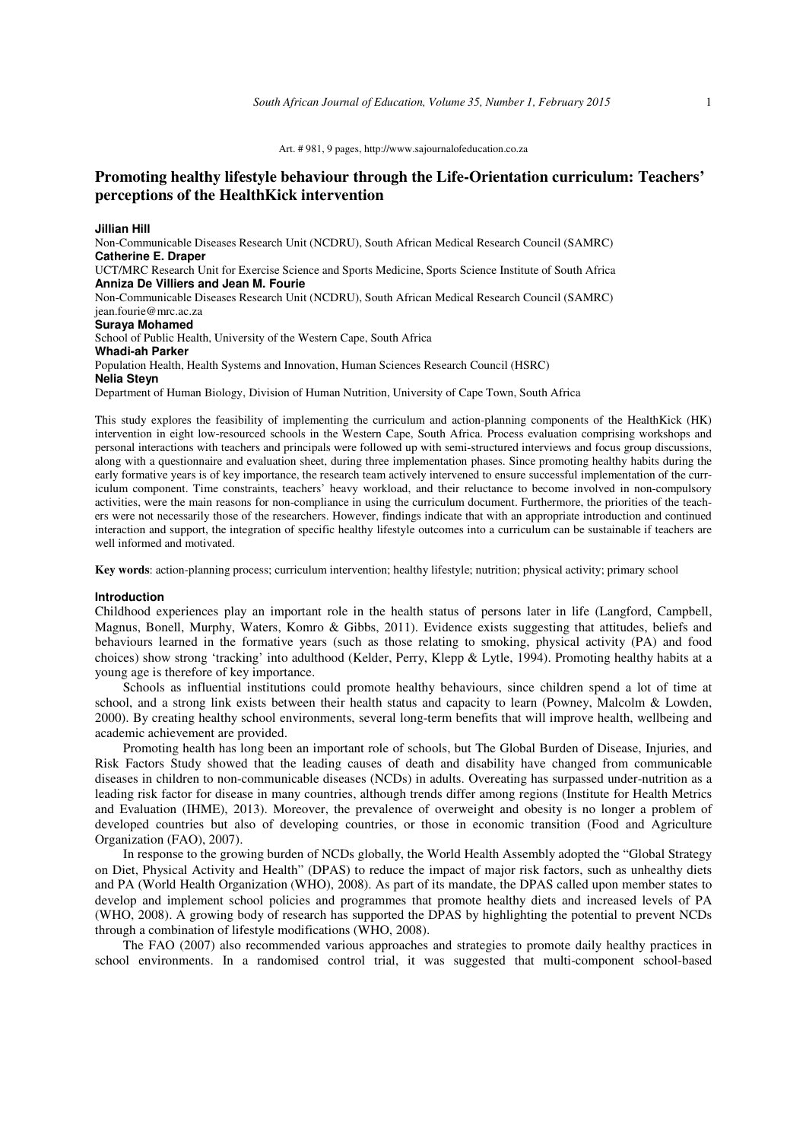# **Promoting healthy lifestyle behaviour through the Life-Orientation curriculum: Teachers' perceptions of the HealthKick intervention**

**Jillian Hill**  Non-Communicable Diseases Research Unit (NCDRU), South African Medical Research Council (SAMRC) **Catherine E. Draper**  UCT/MRC Research Unit for Exercise Science and Sports Medicine, Sports Science Institute of South Africa **Anniza De Villiers and Jean M. Fourie**  Non-Communicable Diseases Research Unit (NCDRU), South African Medical Research Council (SAMRC) jean.fourie@mrc.ac.za **Suraya Mohamed**  School of Public Health, University of the Western Cape, South Africa **Whadi-ah Parker**  Population Health, Health Systems and Innovation, Human Sciences Research Council (HSRC) **Nelia Steyn**  Department of Human Biology, Division of Human Nutrition, University of Cape Town, South Africa

This study explores the feasibility of implementing the curriculum and action-planning components of the HealthKick (HK) intervention in eight low-resourced schools in the Western Cape, South Africa. Process evaluation comprising workshops and personal interactions with teachers and principals were followed up with semi-structured interviews and focus group discussions, along with a questionnaire and evaluation sheet, during three implementation phases. Since promoting healthy habits during the early formative years is of key importance, the research team actively intervened to ensure successful implementation of the curriculum component. Time constraints, teachers' heavy workload, and their reluctance to become involved in non-compulsory activities, were the main reasons for non-compliance in using the curriculum document. Furthermore, the priorities of the teachers were not necessarily those of the researchers. However, findings indicate that with an appropriate introduction and continued interaction and support, the integration of specific healthy lifestyle outcomes into a curriculum can be sustainable if teachers are well informed and motivated.

**Key words**: action-planning process; curriculum intervention; healthy lifestyle; nutrition; physical activity; primary school

#### **Introduction**

Childhood experiences play an important role in the health status of persons later in life (Langford, Campbell, Magnus, Bonell, Murphy, Waters, Komro & Gibbs, 2011). Evidence exists suggesting that attitudes, beliefs and behaviours learned in the formative years (such as those relating to smoking, physical activity (PA) and food choices) show strong 'tracking' into adulthood (Kelder, Perry, Klepp & Lytle, 1994). Promoting healthy habits at a young age is therefore of key importance.

Schools as influential institutions could promote healthy behaviours, since children spend a lot of time at school, and a strong link exists between their health status and capacity to learn (Powney, Malcolm & Lowden, 2000). By creating healthy school environments, several long-term benefits that will improve health, wellbeing and academic achievement are provided.

Promoting health has long been an important role of schools, but The Global Burden of Disease, Injuries, and Risk Factors Study showed that the leading causes of death and disability have changed from communicable diseases in children to non-communicable diseases (NCDs) in adults. Overeating has surpassed under-nutrition as a leading risk factor for disease in many countries, although trends differ among regions (Institute for Health Metrics and Evaluation (IHME), 2013). Moreover, the prevalence of overweight and obesity is no longer a problem of developed countries but also of developing countries, or those in economic transition (Food and Agriculture Organization (FAO), 2007).

In response to the growing burden of NCDs globally, the World Health Assembly adopted the "Global Strategy on Diet, Physical Activity and Health" (DPAS) to reduce the impact of major risk factors, such as unhealthy diets and PA (World Health Organization (WHO), 2008). As part of its mandate, the DPAS called upon member states to develop and implement school policies and programmes that promote healthy diets and increased levels of PA (WHO, 2008). A growing body of research has supported the DPAS by highlighting the potential to prevent NCDs through a combination of lifestyle modifications (WHO, 2008).

The FAO (2007) also recommended various approaches and strategies to promote daily healthy practices in school environments. In a randomised control trial, it was suggested that multi-component school-based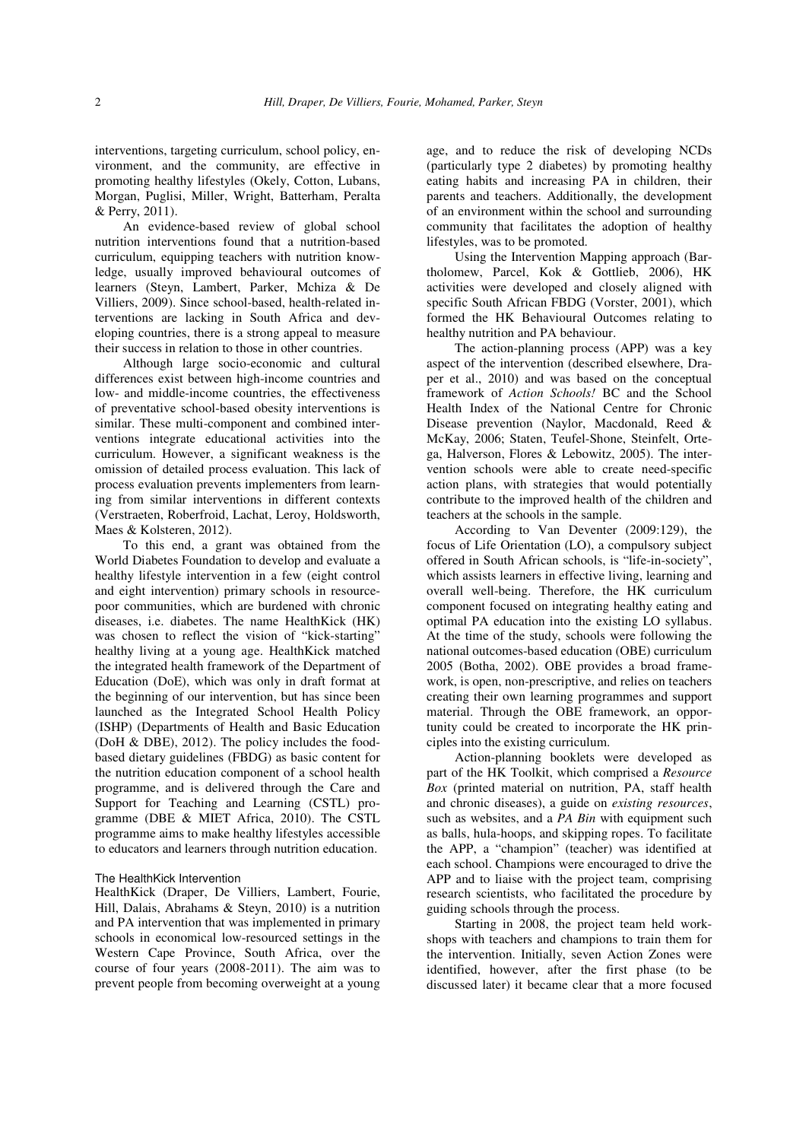interventions, targeting curriculum, school policy, environment, and the community, are effective in promoting healthy lifestyles (Okely, Cotton, Lubans, Morgan, Puglisi, Miller, Wright, Batterham, Peralta & Perry, 2011).

An evidence-based review of global school nutrition interventions found that a nutrition-based curriculum, equipping teachers with nutrition knowledge, usually improved behavioural outcomes of learners (Steyn, Lambert, Parker, Mchiza & De Villiers, 2009). Since school-based, health-related interventions are lacking in South Africa and developing countries, there is a strong appeal to measure their success in relation to those in other countries.

Although large socio-economic and cultural differences exist between high-income countries and low- and middle-income countries, the effectiveness of preventative school-based obesity interventions is similar. These multi-component and combined interventions integrate educational activities into the curriculum. However, a significant weakness is the omission of detailed process evaluation. This lack of process evaluation prevents implementers from learning from similar interventions in different contexts (Verstraeten, Roberfroid, Lachat, Leroy, Holdsworth, Maes & Kolsteren, 2012).

To this end, a grant was obtained from the World Diabetes Foundation to develop and evaluate a healthy lifestyle intervention in a few (eight control and eight intervention) primary schools in resourcepoor communities, which are burdened with chronic diseases, i.e. diabetes. The name HealthKick (HK) was chosen to reflect the vision of "kick-starting" healthy living at a young age. HealthKick matched the integrated health framework of the Department of Education (DoE), which was only in draft format at the beginning of our intervention, but has since been launched as the Integrated School Health Policy (ISHP) (Departments of Health and Basic Education (DoH & DBE), 2012). The policy includes the foodbased dietary guidelines (FBDG) as basic content for the nutrition education component of a school health programme, and is delivered through the Care and Support for Teaching and Learning (CSTL) programme (DBE & MIET Africa, 2010). The CSTL programme aims to make healthy lifestyles accessible to educators and learners through nutrition education.

#### The HealthKick Intervention

HealthKick (Draper, De Villiers, Lambert, Fourie, Hill, Dalais, Abrahams & Steyn, 2010) is a nutrition and PA intervention that was implemented in primary schools in economical low-resourced settings in the Western Cape Province, South Africa, over the course of four years (2008-2011). The aim was to prevent people from becoming overweight at a young

age, and to reduce the risk of developing NCDs (particularly type 2 diabetes) by promoting healthy eating habits and increasing PA in children, their parents and teachers. Additionally, the development of an environment within the school and surrounding community that facilitates the adoption of healthy lifestyles, was to be promoted.

Using the Intervention Mapping approach (Bartholomew, Parcel, Kok & Gottlieb, 2006), HK activities were developed and closely aligned with specific South African FBDG (Vorster, 2001), which formed the HK Behavioural Outcomes relating to healthy nutrition and PA behaviour.

The action-planning process (APP) was a key aspect of the intervention (described elsewhere, Draper et al., 2010) and was based on the conceptual framework of *Action Schools!* BC and the School Health Index of the National Centre for Chronic Disease prevention (Naylor, Macdonald, Reed & McKay, 2006; Staten, Teufel-Shone, Steinfelt, Ortega, Halverson, Flores & Lebowitz, 2005). The intervention schools were able to create need-specific action plans, with strategies that would potentially contribute to the improved health of the children and teachers at the schools in the sample.

According to Van Deventer (2009:129), the focus of Life Orientation (LO), a compulsory subject offered in South African schools, is "life-in-society", which assists learners in effective living, learning and overall well-being. Therefore, the HK curriculum component focused on integrating healthy eating and optimal PA education into the existing LO syllabus. At the time of the study, schools were following the national outcomes-based education (OBE) curriculum 2005 (Botha, 2002). OBE provides a broad framework, is open, non-prescriptive, and relies on teachers creating their own learning programmes and support material. Through the OBE framework, an opportunity could be created to incorporate the HK principles into the existing curriculum.

Action-planning booklets were developed as part of the HK Toolkit, which comprised a *Resource Box* (printed material on nutrition, PA, staff health and chronic diseases), a guide on *existing resources*, such as websites, and a *PA Bin* with equipment such as balls, hula-hoops, and skipping ropes. To facilitate the APP, a "champion" (teacher) was identified at each school. Champions were encouraged to drive the APP and to liaise with the project team, comprising research scientists, who facilitated the procedure by guiding schools through the process.

Starting in 2008, the project team held workshops with teachers and champions to train them for the intervention. Initially, seven Action Zones were identified, however, after the first phase (to be discussed later) it became clear that a more focused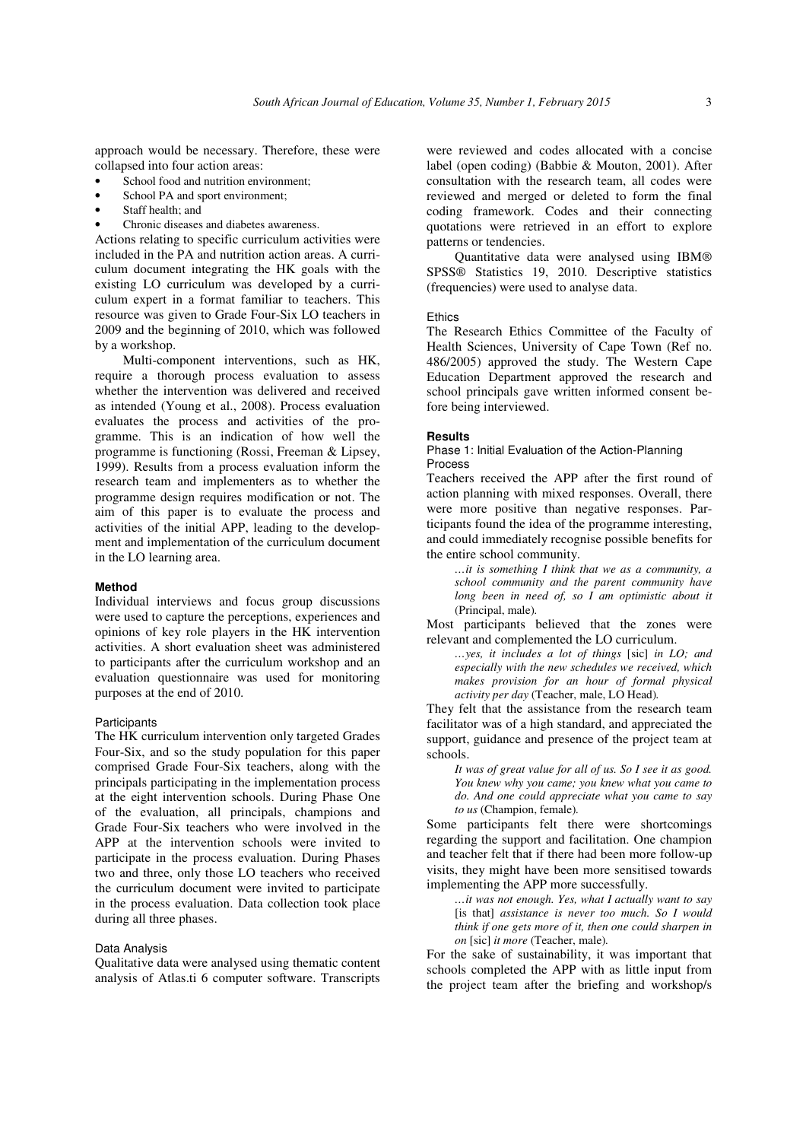approach would be necessary. Therefore, these were collapsed into four action areas:

- School food and nutrition environment;
- School PA and sport environment;
- Staff health: and
- Chronic diseases and diabetes awareness.

Actions relating to specific curriculum activities were included in the PA and nutrition action areas. A curriculum document integrating the HK goals with the existing LO curriculum was developed by a curriculum expert in a format familiar to teachers. This resource was given to Grade Four-Six LO teachers in 2009 and the beginning of 2010, which was followed by a workshop.

Multi-component interventions, such as HK, require a thorough process evaluation to assess whether the intervention was delivered and received as intended (Young et al., 2008). Process evaluation evaluates the process and activities of the programme. This is an indication of how well the programme is functioning (Rossi, Freeman & Lipsey, 1999). Results from a process evaluation inform the research team and implementers as to whether the programme design requires modification or not. The aim of this paper is to evaluate the process and activities of the initial APP, leading to the development and implementation of the curriculum document in the LO learning area.

# **Method**

Individual interviews and focus group discussions were used to capture the perceptions, experiences and opinions of key role players in the HK intervention activities. A short evaluation sheet was administered to participants after the curriculum workshop and an evaluation questionnaire was used for monitoring purposes at the end of 2010.

## **Participants**

The HK curriculum intervention only targeted Grades Four-Six, and so the study population for this paper comprised Grade Four-Six teachers, along with the principals participating in the implementation process at the eight intervention schools. During Phase One of the evaluation, all principals, champions and Grade Four-Six teachers who were involved in the APP at the intervention schools were invited to participate in the process evaluation. During Phases two and three, only those LO teachers who received the curriculum document were invited to participate in the process evaluation. Data collection took place during all three phases.

## Data Analysis

Qualitative data were analysed using thematic content analysis of Atlas.ti 6 computer software. Transcripts

were reviewed and codes allocated with a concise label (open coding) (Babbie & Mouton, 2001). After consultation with the research team, all codes were reviewed and merged or deleted to form the final coding framework. Codes and their connecting quotations were retrieved in an effort to explore patterns or tendencies.

Quantitative data were analysed using IBM® SPSS® Statistics 19, 2010. Descriptive statistics (frequencies) were used to analyse data.

#### **Ethics**

The Research Ethics Committee of the Faculty of Health Sciences, University of Cape Town (Ref no. 486/2005) approved the study. The Western Cape Education Department approved the research and school principals gave written informed consent before being interviewed.

## **Results**

Phase 1: Initial Evaluation of the Action-Planning Process

Teachers received the APP after the first round of action planning with mixed responses. Overall, there were more positive than negative responses. Participants found the idea of the programme interesting, and could immediately recognise possible benefits for the entire school community.

*…it is something I think that we as a community, a school community and the parent community have long been in need of, so I am optimistic about it*  (Principal, male)*.*

Most participants believed that the zones were relevant and complemented the LO curriculum.

*…yes, it includes a lot of things* [sic] *in LO; and especially with the new schedules we received, which makes provision for an hour of formal physical activity per day* (Teacher, male, LO Head)*.*

They felt that the assistance from the research team facilitator was of a high standard, and appreciated the support, guidance and presence of the project team at schools.

*It was of great value for all of us. So I see it as good. You knew why you came; you knew what you came to do. And one could appreciate what you came to say to us* (Champion, female)*.*

Some participants felt there were shortcomings regarding the support and facilitation. One champion and teacher felt that if there had been more follow-up visits, they might have been more sensitised towards implementing the APP more successfully.

*…it was not enough. Yes, what I actually want to say*  [is that] *assistance is never too much. So I would think if one gets more of it, then one could sharpen in on* [sic] *it more* (Teacher, male)*.*

For the sake of sustainability, it was important that schools completed the APP with as little input from the project team after the briefing and workshop/s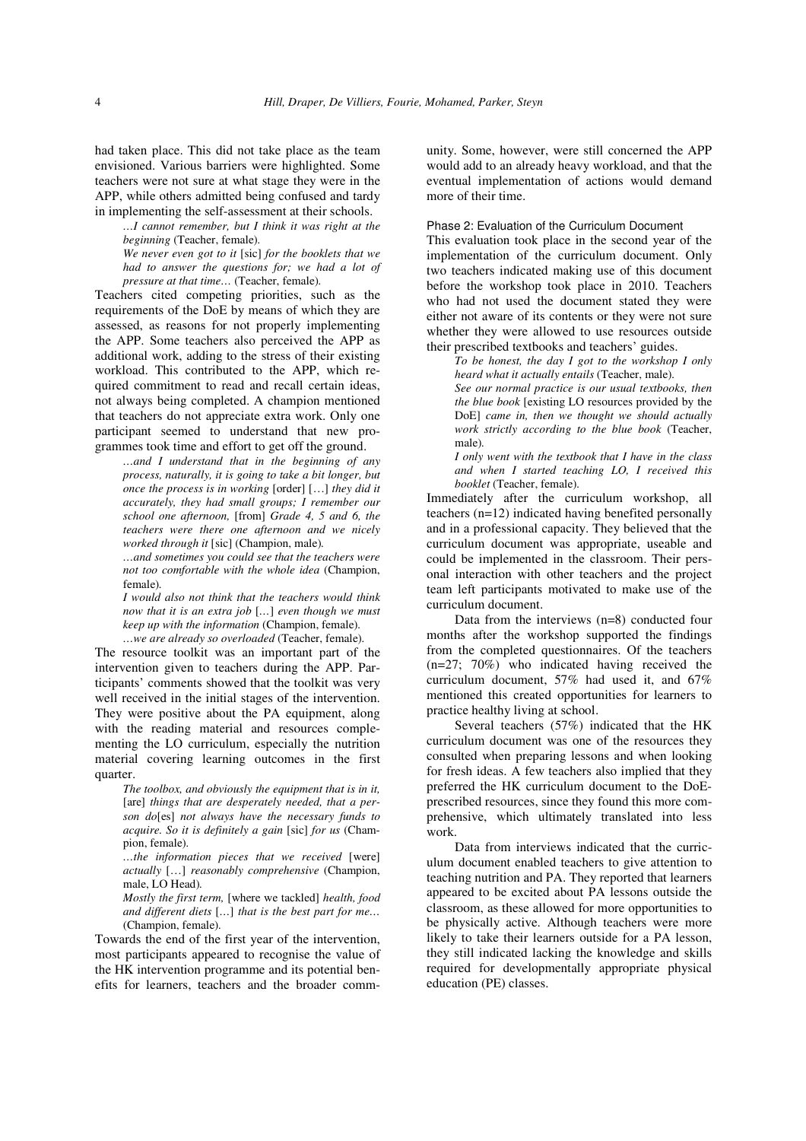had taken place. This did not take place as the team envisioned. Various barriers were highlighted. Some teachers were not sure at what stage they were in the APP, while others admitted being confused and tardy in implementing the self-assessment at their schools.

*…I cannot remember, but I think it was right at the beginning* (Teacher, female)*.*

*We never even got to it* [sic] *for the booklets that we had to answer the questions for; we had a lot of pressure at that time…* (Teacher, female)*.*

Teachers cited competing priorities, such as the requirements of the DoE by means of which they are assessed, as reasons for not properly implementing the APP. Some teachers also perceived the APP as additional work, adding to the stress of their existing workload. This contributed to the APP, which required commitment to read and recall certain ideas, not always being completed. A champion mentioned that teachers do not appreciate extra work. Only one participant seemed to understand that new programmes took time and effort to get off the ground.

*…and I understand that in the beginning of any process, naturally, it is going to take a bit longer, but once the process is in working* [order] […] *they did it accurately, they had small groups; I remember our school one afternoon,* [from] *Grade 4, 5 and 6, the teachers were there one afternoon and we nicely worked through it* [sic] (Champion, male)*.*

*…and sometimes you could see that the teachers were not too comfortable with the whole idea* (Champion, female)*.* 

*I would also not think that the teachers would think now that it is an extra job* [*…*] *even though we must keep up with the information* (Champion, female)*. …we are already so overloaded* (Teacher, female)*.*

The resource toolkit was an important part of the intervention given to teachers during the APP. Participants' comments showed that the toolkit was very well received in the initial stages of the intervention. They were positive about the PA equipment, along with the reading material and resources complementing the LO curriculum, especially the nutrition material covering learning outcomes in the first quarter.

*The toolbox, and obviously the equipment that is in it,*  [are] *things that are desperately needed, that a person do*[es] *not always have the necessary funds to acquire. So it is definitely a gain* [sic] *for us* (Champion, female)*.*

*…the information pieces that we received* [were] *actually* […] *reasonably comprehensive* (Champion, male, LO Head)*.* 

*Mostly the first term,* [where we tackled] *health, food and different diets* [*…*] *that is the best part for me…*  (Champion, female)*.*

Towards the end of the first year of the intervention, most participants appeared to recognise the value of the HK intervention programme and its potential benefits for learners, teachers and the broader comm-

unity. Some, however, were still concerned the APP would add to an already heavy workload, and that the eventual implementation of actions would demand more of their time.

Phase 2: Evaluation of the Curriculum Document

This evaluation took place in the second year of the implementation of the curriculum document. Only two teachers indicated making use of this document before the workshop took place in 2010. Teachers who had not used the document stated they were either not aware of its contents or they were not sure whether they were allowed to use resources outside their prescribed textbooks and teachers' guides.

*To be honest, the day I got to the workshop I only heard what it actually entails* (Teacher, male)*.*

*See our normal practice is our usual textbooks, then the blue book* [existing LO resources provided by the DoE] *came in, then we thought we should actually work strictly according to the blue book* (Teacher, male)*.*

*I only went with the textbook that I have in the class and when I started teaching LO, I received this booklet* (Teacher, female)*.*

Immediately after the curriculum workshop, all teachers (n=12) indicated having benefited personally and in a professional capacity. They believed that the curriculum document was appropriate, useable and could be implemented in the classroom. Their personal interaction with other teachers and the project team left participants motivated to make use of the curriculum document.

Data from the interviews (n=8) conducted four months after the workshop supported the findings from the completed questionnaires. Of the teachers (n=27; 70%) who indicated having received the curriculum document, 57% had used it, and 67% mentioned this created opportunities for learners to practice healthy living at school.

Several teachers (57%) indicated that the HK curriculum document was one of the resources they consulted when preparing lessons and when looking for fresh ideas. A few teachers also implied that they preferred the HK curriculum document to the DoEprescribed resources, since they found this more comprehensive, which ultimately translated into less work.

Data from interviews indicated that the curriculum document enabled teachers to give attention to teaching nutrition and PA. They reported that learners appeared to be excited about PA lessons outside the classroom, as these allowed for more opportunities to be physically active. Although teachers were more likely to take their learners outside for a PA lesson, they still indicated lacking the knowledge and skills required for developmentally appropriate physical education (PE) classes.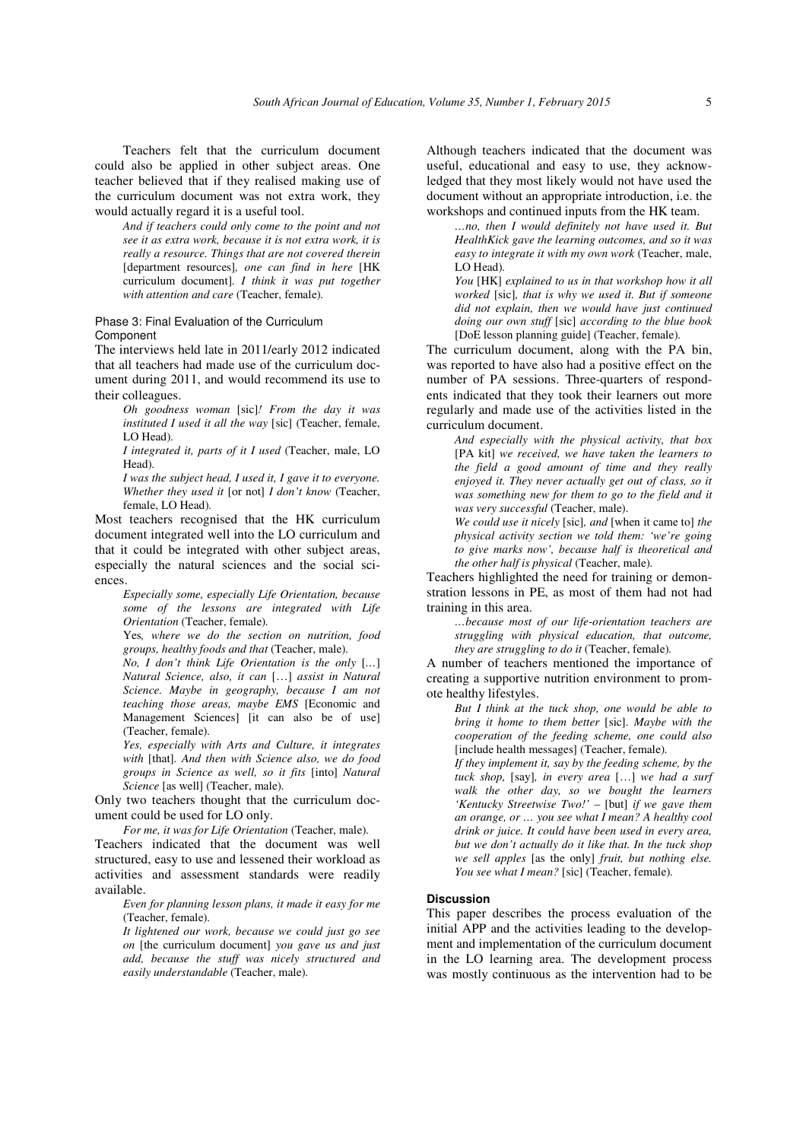Teachers felt that the curriculum document could also be applied in other subject areas. One teacher believed that if they realised making use of the curriculum document was not extra work, they would actually regard it is a useful tool.

*And if teachers could only come to the point and not see it as extra work, because it is not extra work, it is really a resource. Things that are not covered therein*  [department resources]*, one can find in here* [HK curriculum document]*. I think it was put together with attention and care* (Teacher, female)*.*

## Phase 3: Final Evaluation of the Curriculum Component

The interviews held late in 2011/early 2012 indicated that all teachers had made use of the curriculum document during 2011, and would recommend its use to their colleagues.

*Oh goodness woman* [sic]*! From the day it was instituted I used it all the way* [sic] (Teacher, female, LO Head)*.*

*I integrated it, parts of it I used* (Teacher, male, LO Head)*.*

*I was the subject head, I used it, I gave it to everyone. Whether they used it* [or not] *I don't know* (Teacher, female, LO Head)*.*

Most teachers recognised that the HK curriculum document integrated well into the LO curriculum and that it could be integrated with other subject areas, especially the natural sciences and the social sciences.

*Especially some, especially Life Orientation, because some of the lessons are integrated with Life Orientation* (Teacher, female)*.*

Yes*, where we do the section on nutrition, food groups, healthy foods and that* (Teacher, male)*.*

*No, I don't think Life Orientation is the only* [*…*] *Natural Science, also, it can* […] *assist in Natural Science. Maybe in geography, because I am not teaching those areas, maybe EMS* [Economic and Management Sciences] [it can also be of use] (Teacher, female)*.*

*Yes, especially with Arts and Culture, it integrates with* [that]*. And then with Science also, we do food groups in Science as well, so it fits* [into] *Natural Science* [as well] (Teacher, male)*.*

Only two teachers thought that the curriculum document could be used for LO only.

*For me, it was for Life Orientation* (Teacher, male)*.* Teachers indicated that the document was well structured, easy to use and lessened their workload as activities and assessment standards were readily available.

*Even for planning lesson plans, it made it easy for me* (Teacher, female)*.*

*It lightened our work, because we could just go see on* [the curriculum document] *you gave us and just add, because the stuff was nicely structured and easily understandable* (Teacher, male)*.*

Although teachers indicated that the document was useful, educational and easy to use, they acknowledged that they most likely would not have used the document without an appropriate introduction, i.e. the workshops and continued inputs from the HK team.

*…no, then I would definitely not have used it. But HealthKick gave the learning outcomes, and so it was easy to integrate it with my own work* (Teacher, male, LO Head)*.*

*You* [HK] *explained to us in that workshop how it all worked* [sic]*, that is why we used it. But if someone did not explain, then we would have just continued doing our own stuff* [sic] *according to the blue book*  [DoE lesson planning guide] (Teacher, female)*.*

The curriculum document, along with the PA bin, was reported to have also had a positive effect on the number of PA sessions. Three-quarters of respondents indicated that they took their learners out more regularly and made use of the activities listed in the curriculum document.

*And especially with the physical activity, that box* [PA kit] *we received, we have taken the learners to the field a good amount of time and they really enjoyed it. They never actually get out of class, so it was something new for them to go to the field and it was very successful* (Teacher, male)*.*

*We could use it nicely* [sic]*, and* [when it came to] *the physical activity section we told them: 'we're going to give marks now', because half is theoretical and the other half is physical* (Teacher, male)*.*

Teachers highlighted the need for training or demonstration lessons in PE, as most of them had not had training in this area.

*…because most of our life-orientation teachers are struggling with physical education, that outcome, they are struggling to do it* (Teacher, female)*.* 

A number of teachers mentioned the importance of creating a supportive nutrition environment to promote healthy lifestyles.

*But I think at the tuck shop, one would be able to bring it home to them better* [sic]*. Maybe with the cooperation of the feeding scheme, one could also*  [include health messages] (Teacher, female)*.*

*If they implement it, say by the feeding scheme, by the tuck shop,* [say]*, in every area* […] *we had a surf walk the other day, so we bought the learners 'Kentucky Streetwise Two!' –* [but] *if we gave them an orange, or … you see what I mean? A healthy cool drink or juice. It could have been used in every area, but we don't actually do it like that. In the tuck shop we sell apples* [as the only] *fruit, but nothing else. You see what I mean?* [sic] (Teacher, female)*.*

#### **Discussion**

This paper describes the process evaluation of the initial APP and the activities leading to the development and implementation of the curriculum document in the LO learning area. The development process was mostly continuous as the intervention had to be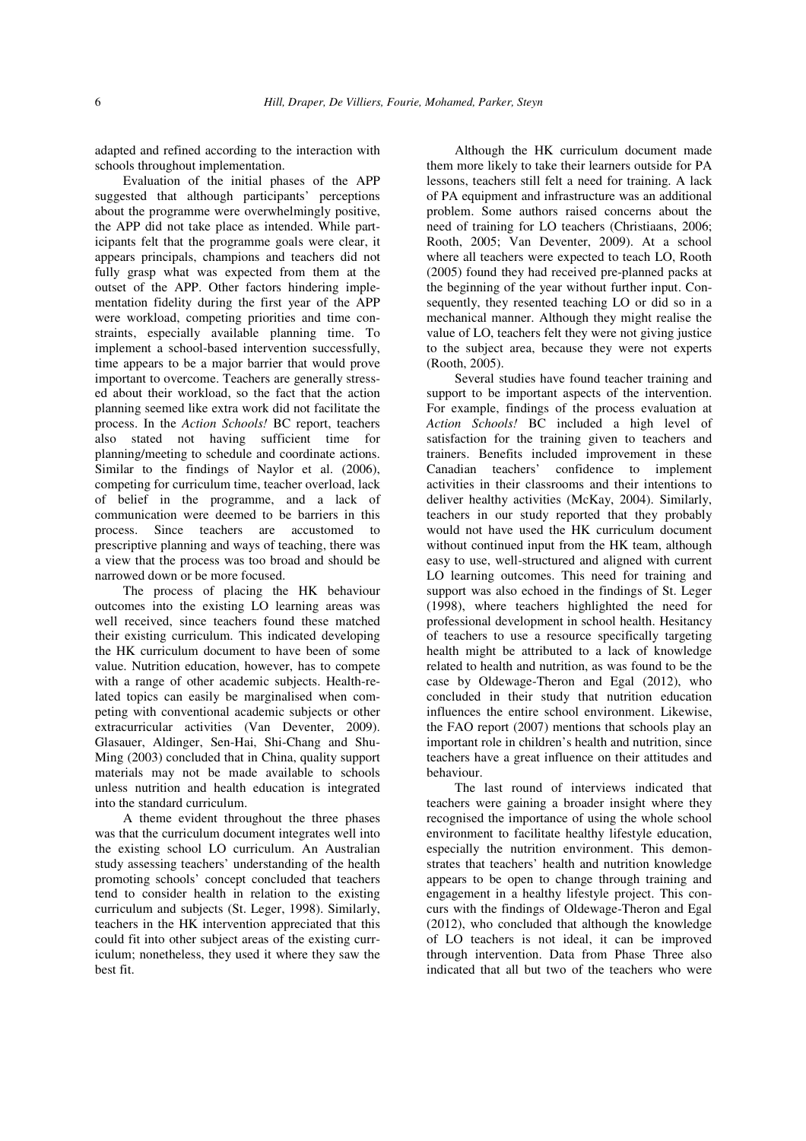adapted and refined according to the interaction with schools throughout implementation.

Evaluation of the initial phases of the APP suggested that although participants' perceptions about the programme were overwhelmingly positive, the APP did not take place as intended. While participants felt that the programme goals were clear, it appears principals, champions and teachers did not fully grasp what was expected from them at the outset of the APP. Other factors hindering implementation fidelity during the first year of the APP were workload, competing priorities and time constraints, especially available planning time. To implement a school-based intervention successfully, time appears to be a major barrier that would prove important to overcome. Teachers are generally stressed about their workload, so the fact that the action planning seemed like extra work did not facilitate the process. In the *Action Schools!* BC report, teachers also stated not having sufficient time for planning/meeting to schedule and coordinate actions. Similar to the findings of Naylor et al. (2006), competing for curriculum time, teacher overload, lack of belief in the programme, and a lack of communication were deemed to be barriers in this process. Since teachers are accustomed to prescriptive planning and ways of teaching, there was a view that the process was too broad and should be narrowed down or be more focused.

The process of placing the HK behaviour outcomes into the existing LO learning areas was well received, since teachers found these matched their existing curriculum. This indicated developing the HK curriculum document to have been of some value. Nutrition education, however, has to compete with a range of other academic subjects. Health-related topics can easily be marginalised when competing with conventional academic subjects or other extracurricular activities (Van Deventer, 2009). Glasauer, Aldinger, Sen-Hai, Shi-Chang and Shu-Ming (2003) concluded that in China, quality support materials may not be made available to schools unless nutrition and health education is integrated into the standard curriculum.

A theme evident throughout the three phases was that the curriculum document integrates well into the existing school LO curriculum. An Australian study assessing teachers' understanding of the health promoting schools' concept concluded that teachers tend to consider health in relation to the existing curriculum and subjects (St. Leger, 1998). Similarly, teachers in the HK intervention appreciated that this could fit into other subject areas of the existing curriculum; nonetheless, they used it where they saw the best fit.

Although the HK curriculum document made them more likely to take their learners outside for PA lessons, teachers still felt a need for training. A lack of PA equipment and infrastructure was an additional problem. Some authors raised concerns about the need of training for LO teachers (Christiaans, 2006; Rooth, 2005; Van Deventer, 2009). At a school where all teachers were expected to teach LO, Rooth (2005) found they had received pre-planned packs at the beginning of the year without further input. Consequently, they resented teaching LO or did so in a mechanical manner. Although they might realise the value of LO, teachers felt they were not giving justice to the subject area, because they were not experts (Rooth, 2005).

Several studies have found teacher training and support to be important aspects of the intervention. For example, findings of the process evaluation at *Action Schools!* BC included a high level of satisfaction for the training given to teachers and trainers. Benefits included improvement in these Canadian teachers' confidence to implement activities in their classrooms and their intentions to deliver healthy activities (McKay, 2004). Similarly, teachers in our study reported that they probably would not have used the HK curriculum document without continued input from the HK team, although easy to use, well-structured and aligned with current LO learning outcomes. This need for training and support was also echoed in the findings of St. Leger (1998), where teachers highlighted the need for professional development in school health. Hesitancy of teachers to use a resource specifically targeting health might be attributed to a lack of knowledge related to health and nutrition, as was found to be the case by Oldewage-Theron and Egal (2012), who concluded in their study that nutrition education influences the entire school environment. Likewise, the FAO report (2007) mentions that schools play an important role in children's health and nutrition, since teachers have a great influence on their attitudes and behaviour.

The last round of interviews indicated that teachers were gaining a broader insight where they recognised the importance of using the whole school environment to facilitate healthy lifestyle education, especially the nutrition environment. This demonstrates that teachers' health and nutrition knowledge appears to be open to change through training and engagement in a healthy lifestyle project. This concurs with the findings of Oldewage-Theron and Egal (2012), who concluded that although the knowledge of LO teachers is not ideal, it can be improved through intervention. Data from Phase Three also indicated that all but two of the teachers who were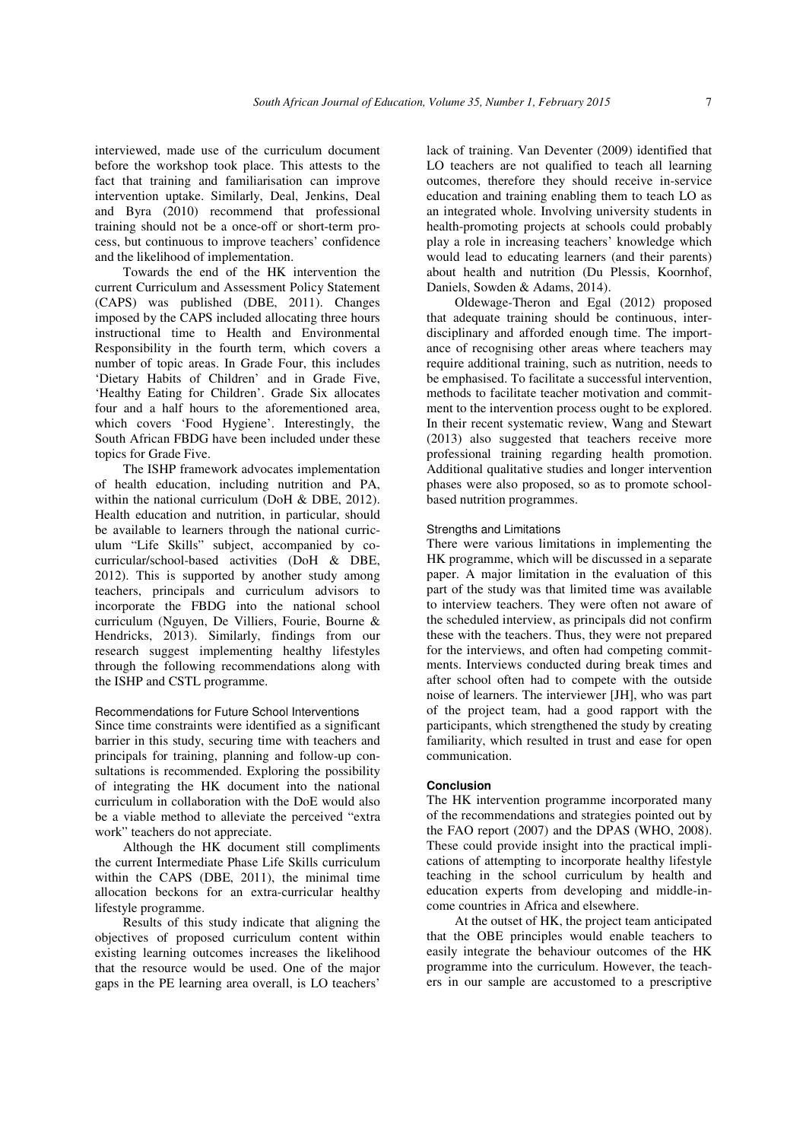interviewed, made use of the curriculum document before the workshop took place. This attests to the fact that training and familiarisation can improve intervention uptake. Similarly, Deal, Jenkins, Deal and Byra (2010) recommend that professional training should not be a once-off or short-term process, but continuous to improve teachers' confidence and the likelihood of implementation.

Towards the end of the HK intervention the current Curriculum and Assessment Policy Statement (CAPS) was published (DBE, 2011). Changes imposed by the CAPS included allocating three hours instructional time to Health and Environmental Responsibility in the fourth term, which covers a number of topic areas. In Grade Four, this includes 'Dietary Habits of Children' and in Grade Five, 'Healthy Eating for Children'. Grade Six allocates four and a half hours to the aforementioned area, which covers 'Food Hygiene'. Interestingly, the South African FBDG have been included under these topics for Grade Five.

The ISHP framework advocates implementation of health education, including nutrition and PA, within the national curriculum (DoH & DBE, 2012). Health education and nutrition, in particular, should be available to learners through the national curriculum "Life Skills" subject, accompanied by cocurricular/school-based activities (DoH & DBE, 2012). This is supported by another study among teachers, principals and curriculum advisors to incorporate the FBDG into the national school curriculum (Nguyen, De Villiers, Fourie, Bourne & Hendricks, 2013). Similarly, findings from our research suggest implementing healthy lifestyles through the following recommendations along with the ISHP and CSTL programme.

#### Recommendations for Future School Interventions

Since time constraints were identified as a significant barrier in this study, securing time with teachers and principals for training, planning and follow-up consultations is recommended. Exploring the possibility of integrating the HK document into the national curriculum in collaboration with the DoE would also be a viable method to alleviate the perceived "extra work" teachers do not appreciate.

Although the HK document still compliments the current Intermediate Phase Life Skills curriculum within the CAPS (DBE, 2011), the minimal time allocation beckons for an extra-curricular healthy lifestyle programme.

Results of this study indicate that aligning the objectives of proposed curriculum content within existing learning outcomes increases the likelihood that the resource would be used. One of the major gaps in the PE learning area overall, is LO teachers'

lack of training. Van Deventer (2009) identified that LO teachers are not qualified to teach all learning outcomes, therefore they should receive in-service education and training enabling them to teach LO as an integrated whole. Involving university students in health-promoting projects at schools could probably play a role in increasing teachers' knowledge which would lead to educating learners (and their parents) about health and nutrition (Du Plessis, Koornhof, Daniels, Sowden & Adams, 2014).

Oldewage-Theron and Egal (2012) proposed that adequate training should be continuous, interdisciplinary and afforded enough time. The importance of recognising other areas where teachers may require additional training, such as nutrition, needs to be emphasised. To facilitate a successful intervention, methods to facilitate teacher motivation and commitment to the intervention process ought to be explored. In their recent systematic review, Wang and Stewart (2013) also suggested that teachers receive more professional training regarding health promotion. Additional qualitative studies and longer intervention phases were also proposed, so as to promote schoolbased nutrition programmes.

## Strengths and Limitations

There were various limitations in implementing the HK programme, which will be discussed in a separate paper. A major limitation in the evaluation of this part of the study was that limited time was available to interview teachers. They were often not aware of the scheduled interview, as principals did not confirm these with the teachers. Thus, they were not prepared for the interviews, and often had competing commitments. Interviews conducted during break times and after school often had to compete with the outside noise of learners. The interviewer [JH], who was part of the project team, had a good rapport with the participants, which strengthened the study by creating familiarity, which resulted in trust and ease for open communication.

#### **Conclusion**

The HK intervention programme incorporated many of the recommendations and strategies pointed out by the FAO report (2007) and the DPAS (WHO, 2008). These could provide insight into the practical implications of attempting to incorporate healthy lifestyle teaching in the school curriculum by health and education experts from developing and middle-income countries in Africa and elsewhere.

At the outset of HK, the project team anticipated that the OBE principles would enable teachers to easily integrate the behaviour outcomes of the HK programme into the curriculum. However, the teachers in our sample are accustomed to a prescriptive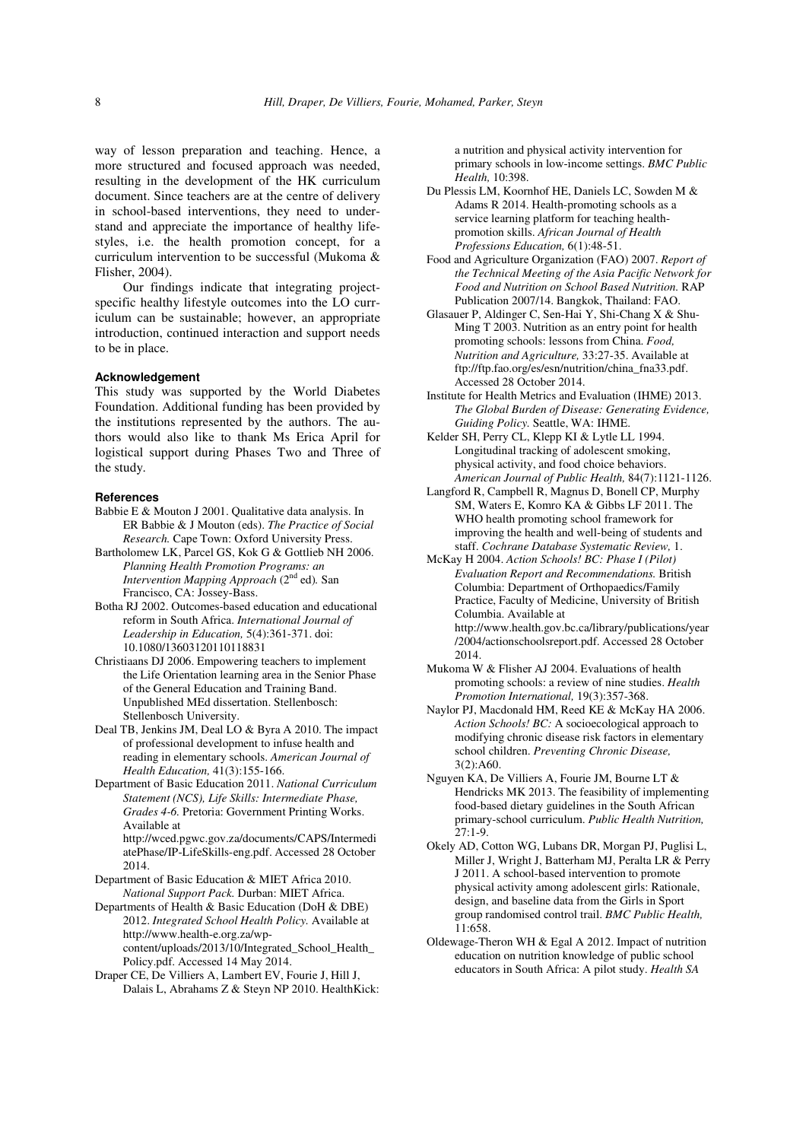way of lesson preparation and teaching. Hence, a more structured and focused approach was needed, resulting in the development of the HK curriculum document. Since teachers are at the centre of delivery in school-based interventions, they need to understand and appreciate the importance of healthy lifestyles, i.e. the health promotion concept, for a curriculum intervention to be successful (Mukoma & Flisher, 2004).

Our findings indicate that integrating projectspecific healthy lifestyle outcomes into the LO curriculum can be sustainable; however, an appropriate introduction, continued interaction and support needs to be in place.

#### **Acknowledgement**

This study was supported by the World Diabetes Foundation. Additional funding has been provided by the institutions represented by the authors. The authors would also like to thank Ms Erica April for logistical support during Phases Two and Three of the study.

## **References**

- Babbie E & Mouton J 2001. Qualitative data analysis. In ER Babbie & J Mouton (eds). *The Practice of Social Research.* Cape Town: Oxford University Press.
- Bartholomew LK, Parcel GS, Kok G & Gottlieb NH 2006. *Planning Health Promotion Programs: an Intervention Mapping Approach* (2nd ed)*.* San Francisco, CA: Jossey-Bass.
- Botha RJ 2002. Outcomes-based education and educational reform in South Africa. *International Journal of Leadership in Education,* 5(4):361-371. doi: 10.1080/13603120110118831
- Christiaans DJ 2006. Empowering teachers to implement the Life Orientation learning area in the Senior Phase of the General Education and Training Band. Unpublished MEd dissertation. Stellenbosch: Stellenbosch University.
- Deal TB, Jenkins JM, Deal LO & Byra A 2010. The impact of professional development to infuse health and reading in elementary schools. *American Journal of Health Education,* 41(3):155-166.
- Department of Basic Education 2011. *National Curriculum Statement (NCS), Life Skills: Intermediate Phase, Grades 4-6.* Pretoria: Government Printing Works. Available at http://wced.pgwc.gov.za/documents/CAPS/Intermedi

atePhase/IP-LifeSkills-eng.pdf. Accessed 28 October 2014.

- Department of Basic Education & MIET Africa 2010. *National Support Pack.* Durban: MIET Africa.
- Departments of Health & Basic Education (DoH & DBE) 2012. *Integrated School Health Policy.* Available at http://www.health-e.org.za/wpcontent/uploads/2013/10/Integrated\_School\_Health\_ Policy.pdf. Accessed 14 May 2014.
- Draper CE, De Villiers A, Lambert EV, Fourie J, Hill J, Dalais L, Abrahams Z & Steyn NP 2010. HealthKick:

a nutrition and physical activity intervention for primary schools in low-income settings. *BMC Public Health,* 10:398.

- Du Plessis LM, Koornhof HE, Daniels LC, Sowden M & Adams R 2014. Health-promoting schools as a service learning platform for teaching healthpromotion skills. *African Journal of Health Professions Education,* 6(1):48-51.
- Food and Agriculture Organization (FAO) 2007. *Report of the Technical Meeting of the Asia Pacific Network for Food and Nutrition on School Based Nutrition.* RAP Publication 2007/14. Bangkok, Thailand: FAO.
- Glasauer P, Aldinger C, Sen-Hai Y, Shi-Chang X & Shu-Ming T 2003. Nutrition as an entry point for health promoting schools: lessons from China. *Food, Nutrition and Agriculture,* 33:27-35. Available at ftp://ftp.fao.org/es/esn/nutrition/china\_fna33.pdf. Accessed 28 October 2014.
- Institute for Health Metrics and Evaluation (IHME) 2013. *The Global Burden of Disease: Generating Evidence, Guiding Policy.* Seattle, WA: IHME.
- Kelder SH, Perry CL, Klepp KI & Lytle LL 1994. Longitudinal tracking of adolescent smoking, physical activity, and food choice behaviors. *American Journal of Public Health,* 84(7):1121-1126.
- Langford R, Campbell R, Magnus D, Bonell CP, Murphy SM, Waters E, Komro KA & Gibbs LF 2011. The WHO health promoting school framework for improving the health and well-being of students and staff. *Cochrane Database Systematic Review,* 1.
- McKay H 2004. *Action Schools! BC: Phase I (Pilot) Evaluation Report and Recommendations.* British Columbia: Department of Orthopaedics/Family Practice, Faculty of Medicine, University of British Columbia. Available at http://www.health.gov.bc.ca/library/publications/year /2004/actionschoolsreport.pdf. Accessed 28 October 2014.
- Mukoma W & Flisher AJ 2004. Evaluations of health promoting schools: a review of nine studies. *Health Promotion International,* 19(3):357-368.
- Naylor PJ, Macdonald HM, Reed KE & McKay HA 2006. *Action Schools! BC:* A socioecological approach to modifying chronic disease risk factors in elementary school children. *Preventing Chronic Disease,* 3(2):A60.
- Nguyen KA, De Villiers A, Fourie JM, Bourne LT & Hendricks MK 2013. The feasibility of implementing food-based dietary guidelines in the South African primary-school curriculum. *Public Health Nutrition,*  27:1-9.
- Okely AD, Cotton WG, Lubans DR, Morgan PJ, Puglisi L, Miller J, Wright J, Batterham MJ, Peralta LR & Perry J 2011. A school-based intervention to promote physical activity among adolescent girls: Rationale, design, and baseline data from the Girls in Sport group randomised control trail. *BMC Public Health,* 11:658.
- Oldewage-Theron WH & Egal A 2012. Impact of nutrition education on nutrition knowledge of public school educators in South Africa: A pilot study. *Health SA*